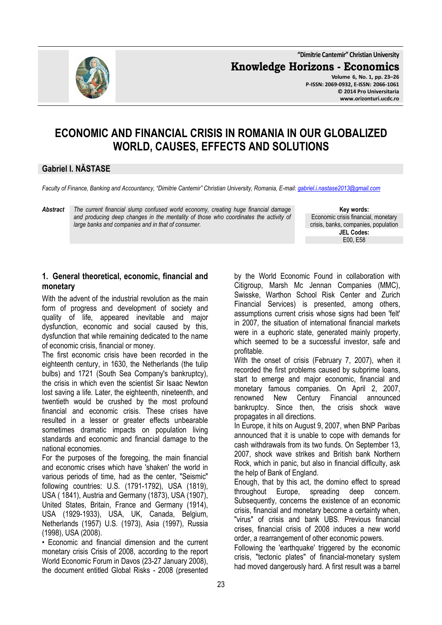**"Dimitrie Cantemir" Christian University**

**Knowledge Horizons - Economics**



**Volume 6, No. 1, pp. 23–26 P-ISSN: 2069-0932, E-ISSN: 2066-1061 © 2014 Pro Universitaria www.orizonturi.ucdc.ro**

# **ECONOMIC AND FINANCIAL CRISIS IN ROMANIA IN OUR GLOBALIZED WORLD, CAUSES, EFFECTS AND SOLUTIONS**

### **Gabriel I. NĂSTASE**

*Faculty of Finance, Banking and Accountancy, "Dimitrie Cantemir" Christian University, Romania, E-mail: gabriel.i.nastase2013@gmail.com*

*Abstract The current financial slump confused world economy, creating huge financial damage and producing deep changes in the mentality of those who coordinates the activity of large banks and companies and in that of consumer.* 

**Key words:** Economic crisis financial, monetary crisis, banks, companies, population **JEL Codes:** E00, E58

## **1. General theoretical, economic, financial and monetary**

With the advent of the industrial revolution as the main form of progress and development of society and quality of life, appeared inevitable and major dysfunction, economic and social caused by this, dysfunction that while remaining dedicated to the name of economic crisis, financial or money.

The first economic crisis have been recorded in the eighteenth century, in 1630, the Netherlands (the tulip bulbs) and 1721 (South Sea Company's bankruptcy), the crisis in which even the scientist Sir Isaac Newton lost saving a life. Later, the eighteenth, nineteenth, and twentieth would be crushed by the most profound financial and economic crisis. These crises have resulted in a lesser or greater effects unbearable sometimes dramatic impacts on population living standards and economic and financial damage to the national economies.

For the purposes of the foregoing, the main financial and economic crises which have 'shaken' the world in various periods of time, had as the center, "Seismic" following countries: U.S. (1791-1792), USA (1819), USA ( 1841), Austria and Germany (1873), USA (1907), United States, Britain, France and Germany (1914), USA (1929-1933), USA, UK, Canada, Belgium, Netherlands (1957) U.S. (1973), Asia (1997), Russia (1998), USA (2008).

• Economic and financial dimension and the current monetary crisis Crisis of 2008, according to the report World Economic Forum in Davos (23-27 January 2008), the document entitled Global Risks - 2008 (presented

by the World Economic Found in collaboration with Citigroup, Marsh Mc Jennan Companies (MMC), Swisske, Warthon School Risk Center and Zurich Financial Services) is presented, among others, assumptions current crisis whose signs had been 'felt' in 2007, the situation of international financial markets were in a euphoric state, generated mainly property, which seemed to be a successful investor, safe and profitable.

With the onset of crisis (February 7, 2007), when it recorded the first problems caused by subprime loans, start to emerge and major economic, financial and monetary famous companies. On April 2, 2007, renowned New Century Financial announced bankruptcy. Since then, the crisis shock wave propagates in all directions.

In Europe, it hits on August 9, 2007, when BNP Paribas announced that it is unable to cope with demands for cash withdrawals from its two funds. On September 13, 2007, shock wave strikes and British bank Northern Rock, which in panic, but also in financial difficulty, ask the help of Bank of England.

Enough, that by this act, the domino effect to spread throughout Europe, spreading deep concern. Subsequently, concerns the existence of an economic crisis, financial and monetary become a certainty when, "virus" of crisis and bank UBS. Previous financial crises, financial crisis of 2008 induces a new world order, a rearrangement of other economic powers.

Following the 'earthquake' triggered by the economic crisis, "tectonic plates" of financial-monetary system had moved dangerously hard. A first result was a barrel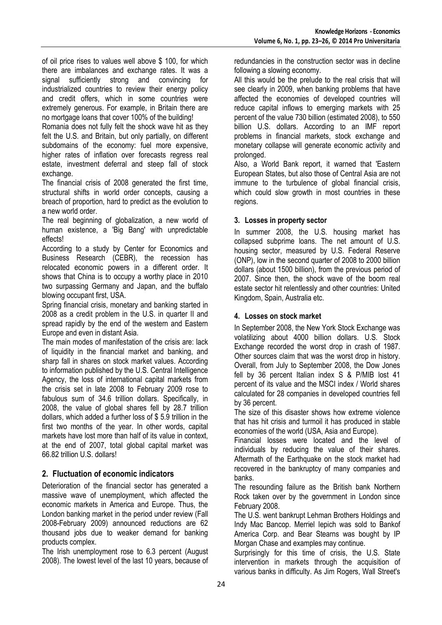of oil price rises to values well above \$ 100, for which there are imbalances and exchange rates. It was a signal sufficiently strong and convincing for industrialized countries to review their energy policy and credit offers, which in some countries were extremely generous. For example, in Britain there are no mortgage loans that cover 100% of the building!

Romania does not fully felt the shock wave hit as they felt the U.S. and Britain, but only partially, on different subdomains of the economy: fuel more expensive, higher rates of inflation over forecasts regress real estate, investment deferral and steep fall of stock exchange.

The financial crisis of 2008 generated the first time, structural shifts in world order concepts, causing a breach of proportion, hard to predict as the evolution to a new world order.

The real beginning of globalization, a new world of human existence, a 'Big Bang' with unpredictable effects!

According to a study by Center for Economics and Business Research (CEBR), the recession has relocated economic powers in a different order. It shows that China is to occupy a worthy place in 2010 two surpassing Germany and Japan, and the buffalo blowing occupant first, USA.

Spring financial crisis, monetary and banking started in 2008 as a credit problem in the U.S. in quarter II and spread rapidly by the end of the western and Eastern Europe and even in distant Asia.

The main modes of manifestation of the crisis are: lack of liquidity in the financial market and banking, and sharp fall in shares on stock market values. According to information published by the U.S. Central Intelligence Agency, the loss of international capital markets from the crisis set in late 2008 to February 2009 rose to fabulous sum of 34.6 trillion dollars. Specifically, in 2008, the value of global shares fell by 28.7 trillion dollars, which added a further loss of \$ 5.9 trillion in the first two months of the year. In other words, capital markets have lost more than half of its value in context, at the end of 2007, total global capital market was 66.82 trillion U.S. dollars!

# **2. Fluctuation of economic indicators**

Deterioration of the financial sector has generated a massive wave of unemployment, which affected the economic markets in America and Europe. Thus, the London banking market in the period under review (Fall 2008-February 2009) announced reductions are 62 thousand jobs due to weaker demand for banking products complex.

The Irish unemployment rose to 6.3 percent (August 2008). The lowest level of the last 10 years, because of

redundancies in the construction sector was in decline following a slowing economy.

All this would be the prelude to the real crisis that will see clearly in 2009, when banking problems that have affected the economies of developed countries will reduce capital inflows to emerging markets with 25 percent of the value 730 billion (estimated 2008), to 550 billion U.S. dollars. According to an IMF report problems in financial markets, stock exchange and monetary collapse will generate economic activity and prolonged.

Also, a World Bank report, it warned that 'Eastern European States, but also those of Central Asia are not immune to the turbulence of global financial crisis, which could slow growth in most countries in these regions.

### **3. Losses in property sector**

In summer 2008, the U.S. housing market has collapsed subprime loans. The net amount of U.S. housing sector, measured by U.S. Federal Reserve (ONP), low in the second quarter of 2008 to 2000 billion dollars (about 1500 billion), from the previous period of 2007. Since then, the shock wave of the boom real estate sector hit relentlessly and other countries: United Kingdom, Spain, Australia etc.

### **4. Losses on stock market**

In September 2008, the New York Stock Exchange was volatilizing about 4000 billion dollars. U.S. Stock Exchange recorded the worst drop in crash of 1987. Other sources claim that was the worst drop in history. Overall, from July to September 2008, the Dow Jones fell by 36 percent Italian index S & P/MIB lost 41 percent of its value and the MSCI index / World shares calculated for 28 companies in developed countries fell by 36 percent.

The size of this disaster shows how extreme violence that has hit crisis and turmoil it has produced in stable economies of the world (USA, Asia and Europe).

Financial losses were located and the level of individuals by reducing the value of their shares. Aftermath of the Earthquake on the stock market had recovered in the bankruptcy of many companies and banks.

The resounding failure as the British bank Northern Rock taken over by the government in London since February 2008.

The U.S. went bankrupt Lehman Brothers Holdings and Indy Mac Bancop. Merriel Iepich was sold to Bankof America Corp. and Bear Stearns was bought by IP Morgan Chase and examples may continue.

Surprisingly for this time of crisis, the U.S. State intervention in markets through the acquisition of various banks in difficulty. As Jim Rogers, Wall Street's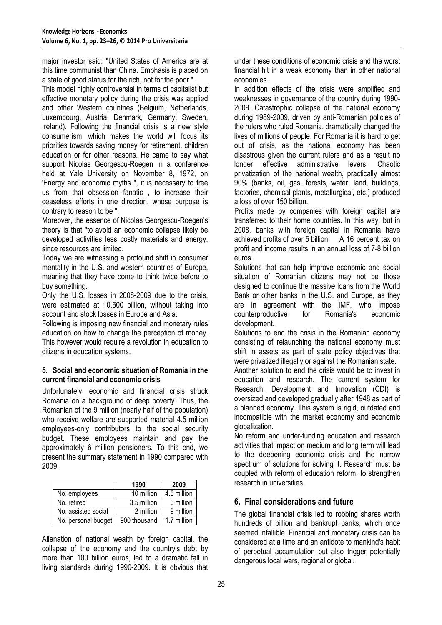major investor said: "United States of America are at this time communist than China. Emphasis is placed on a state of good status for the rich, not for the poor ".

This model highly controversial in terms of capitalist but effective monetary policy during the crisis was applied and other Western countries (Belgium, Netherlands, Luxembourg, Austria, Denmark, Germany, Sweden, Ireland). Following the financial crisis is a new style consumerism, which makes the world will focus its priorities towards saving money for retirement, children education or for other reasons. He came to say what support Nicolas Georgescu-Roegen in a conference held at Yale University on November 8, 1972, on 'Energy and economic myths ", it is necessary to free us from that obsession fanatic , to increase their ceaseless efforts in one direction, whose purpose is contrary to reason to be ".

Moreover, the essence of Nicolas Georgescu-Roegen's theory is that "to avoid an economic collapse likely be developed activities less costly materials and energy, since resources are limited.

Today we are witnessing a profound shift in consumer mentality in the U.S. and western countries of Europe, meaning that they have come to think twice before to buy something.

Only the U.S. losses in 2008-2009 due to the crisis, were estimated at 10,500 billion, without taking into account and stock losses in Europe and Asia.

Following is imposing new financial and monetary rules education on how to change the perception of money. This however would require a revolution in education to citizens in education systems.

#### **5. Social and economic situation of Romania in the current financial and economic crisis**

Unfortunately, economic and financial crisis struck Romania on a background of deep poverty. Thus, the Romanian of the 9 million (nearly half of the population) who receive welfare are supported material 4.5 million employees-only contributors to the social security budget. These employees maintain and pay the approximately 6 million pensioners. To this end, we present the summary statement in 1990 compared with 2009.

|                     | 1990         | 2009        |
|---------------------|--------------|-------------|
| No. employees       | 10 million   | 4.5 million |
| No. retired         | 3.5 million  | 6 million   |
| No. assisted social | 2 million    | 9 million   |
| No. personal budget | 900 thousand | 1.7 million |

Alienation of national wealth by foreign capital, the collapse of the economy and the country's debt by more than 100 billion euros, led to a dramatic fall in living standards during 1990-2009. It is obvious that under these conditions of economic crisis and the worst financial hit in a weak economy than in other national economies.

In addition effects of the crisis were amplified and weaknesses in governance of the country during 1990- 2009. Catastrophic collapse of the national economy during 1989-2009, driven by anti-Romanian policies of the rulers who ruled Romania, dramatically changed the lives of millions of people. For Romania it is hard to get out of crisis, as the national economy has been disastrous given the current rulers and as a result no longer effective administrative levers. Chaotic privatization of the national wealth, practically almost 90% (banks, oil, gas, forests, water, land, buildings, factories, chemical plants, metallurgical, etc.) produced a loss of over 150 billion.

Profits made by companies with foreign capital are transferred to their home countries. In this way, but in 2008, banks with foreign capital in Romania have achieved profits of over 5 billion. A 16 percent tax on profit and income results in an annual loss of 7-8 billion euros.

Solutions that can help improve economic and social situation of Romanian citizens may not be those designed to continue the massive loans from the World Bank or other banks in the U.S. and Europe, as they are in agreement with the IMF, who impose<br>counterproductive for Romania's economic counterproductive for Romania's development.

Solutions to end the crisis in the Romanian economy consisting of relaunching the national economy must shift in assets as part of state policy objectives that were privatized illegally or against the Romanian state.

Another solution to end the crisis would be to invest in education and research. The current system for Research, Development and Innovation (CDI) is oversized and developed gradually after 1948 as part of a planned economy. This system is rigid, outdated and incompatible with the market economy and economic globalization.

No reform and under-funding education and research activities that impact on medium and long term will lead to the deepening economic crisis and the narrow spectrum of solutions for solving it. Research must be coupled with reform of education reform, to strengthen research in universities.

### **6. Final considerations and future**

The global financial crisis led to robbing shares worth hundreds of billion and bankrupt banks, which once seemed infallible. Financial and monetary crisis can be considered at a time and an antidote to mankind's habit of perpetual accumulation but also trigger potentially dangerous local wars, regional or global.